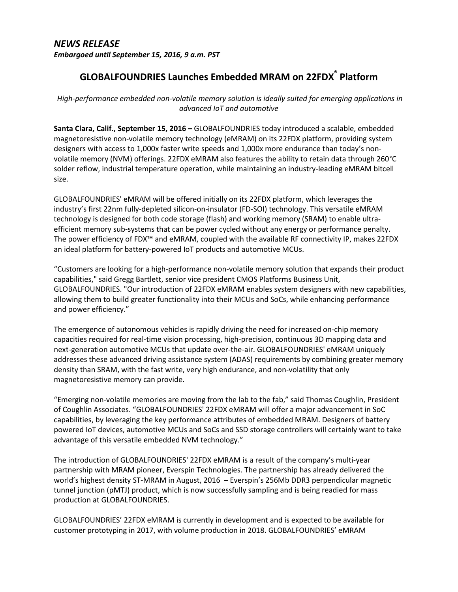## *NEWS RELEASE Embargoed until September 15, 2016, 9 a.m. PST*

## **GLOBALFOUNDRIES Launches Embedded MRAM on 22FDX® Platform**

*High-performance embedded non-volatile memory solution is ideally suited for emerging applications in advanced IoT and automotive*

**Santa Clara, Calif., September 15, 2016 –** GLOBALFOUNDRIES today introduced a scalable, embedded magnetoresistive non-volatile memory technology (eMRAM) on its 22FDX platform, providing system designers with access to 1,000x faster write speeds and 1,000x more endurance than today's nonvolatile memory (NVM) offerings. 22FDX eMRAM also features the ability to retain data through 260°C solder reflow, industrial temperature operation, while maintaining an industry-leading eMRAM bitcell size.

GLOBALFOUNDRIES' eMRAM will be offered initially on its 22FDX platform, which leverages the industry's first 22nm fully-depleted silicon-on-insulator (FD-SOI) technology. This versatile eMRAM technology is designed for both code storage (flash) and working memory (SRAM) to enable ultraefficient memory sub-systems that can be power cycled without any energy or performance penalty. The power efficiency of FDX™ and eMRAM, coupled with the available RF connectivity IP, makes 22FDX an ideal platform for battery-powered IoT products and automotive MCUs.

"Customers are looking for a high-performance non-volatile memory solution that expands their product capabilities," said Gregg Bartlett, senior vice president CMOS Platforms Business Unit, GLOBALFOUNDRIES. "Our introduction of 22FDX eMRAM enables system designers with new capabilities, allowing them to build greater functionality into their MCUs and SoCs, while enhancing performance and power efficiency."

The emergence of autonomous vehicles is rapidly driving the need for increased on-chip memory capacities required for real-time vision processing, high-precision, continuous 3D mapping data and next-generation automotive MCUs that update over-the-air. GLOBALFOUNDRIES' eMRAM uniquely addresses these advanced driving assistance system (ADAS) requirements by combining greater memory density than SRAM, with the fast write, very high endurance, and non-volatility that only magnetoresistive memory can provide.

"Emerging non-volatile memories are moving from the lab to the fab," said Thomas Coughlin, President of Coughlin Associates. "GLOBALFOUNDRIES' 22FDX eMRAM will offer a major advancement in SoC capabilities, by leveraging the key performance attributes of embedded MRAM. Designers of battery powered IoT devices, automotive MCUs and SoCs and SSD storage controllers will certainly want to take advantage of this versatile embedded NVM technology."

The introduction of GLOBALFOUNDRIES' 22FDX eMRAM is a result of the company's multi-year partnership with MRAM pioneer, Everspin Technologies. The partnership has already delivered the world's highest density ST-MRAM in August, 2016 – Everspin's 256Mb DDR3 perpendicular magnetic tunnel junction (pMTJ) product, which is now successfully sampling and is being readied for mass production at GLOBALFOUNDRIES.

GLOBALFOUNDRIES' 22FDX eMRAM is currently in development and is expected to be available for customer prototyping in 2017, with volume production in 2018. GLOBALFOUNDRIES' eMRAM